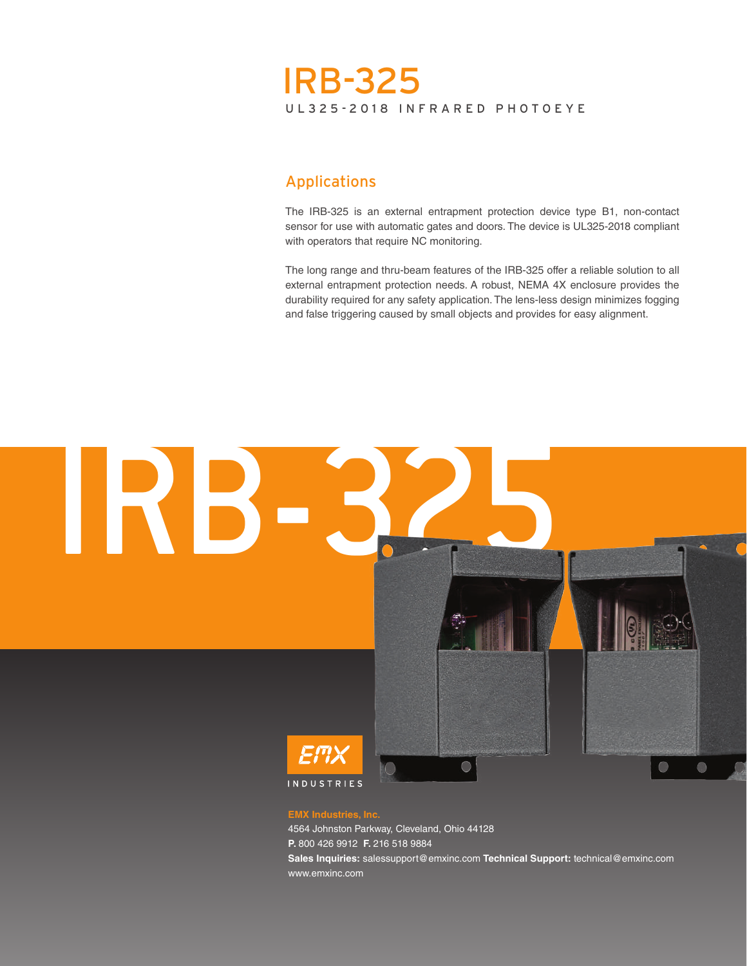# UL325-2018 INFRARED PHOTOEYE IRB-325

# Applications

The IRB-325 is an external entrapment protection device type B1, non-contact sensor for use with automatic gates and doors. The device is UL325-2018 compliant with operators that require NC monitoring.

The long range and thru-beam features of the IRB-325 offer a reliable solution to all external entrapment protection needs. A robust, NEMA 4X enclosure provides the durability required for any safety application. The lens-less design minimizes fogging and false triggering caused by small objects and provides for easy alignment.



**P.** 800 426 9912 **F.** 216 518 9884

**Sales Inquiries:** salessupport@emxinc.com **Technical Support:** technical@emxinc.com www.emxinc.com